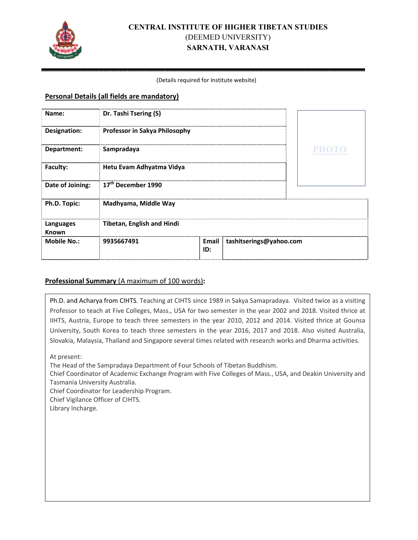

# **CENTRAL INSTITUTE OF HIGHER TIBETAN STUDIES** (DEEMED UNIVERSITY) **SARNATH, VARANASI**

#### (Det Details required for Institute website)

#### **Personal Details (all fields are mandatory)**

| Name:              | Dr. Tashi Tsering (S)             |              |                         |              |
|--------------------|-----------------------------------|--------------|-------------------------|--------------|
| Designation:       | Professor in Sakya Philosophy     |              |                         |              |
| Department:        | Sampradaya                        |              |                         | <b>PHOTO</b> |
| Faculty:           | Hetu Evam Adhyatma Vidya          |              |                         |              |
| Date of Joining:   | 17 <sup>th</sup> December 1990    |              |                         |              |
| Ph.D. Topic:       | Madhyama, Middle Way              |              |                         |              |
| Languages<br>Known | <b>Tibetan, English and Hindi</b> |              |                         |              |
| <b>Mobile No.:</b> | 9935667491                        | Email<br>ID: | tashitserings@yahoo.com |              |

### **Professional Summary** (A maximum of 100 words):

Ph.D. and Acharya from CIHTS. Teaching at CIHTS since 1989 in Sakya Samapradaya. Visited twice as a visiting Professor to teach at Five Colleges, Mass., USA for two semester in the year 2002 and 2018. Visited thrice at IIHTS, Austria, Europe to teach three semesters in the year 2010, 2012 and 2014. Visited thrice at Gounsa University, South Korea to teach three semesters in the year 2016, 2017 and 2018. Also visited Australia, Slovakia, Malaysia, Thailand and Singapore several times related with research works and Dharma activities.

At present:

The Head of the Sampradaya Department of Four Schools of Tibetan Buddhism.

Chief Coordinator of Academic Exchange Program with Five Colleges of Mass., USA, and Deakin University and Tasmania University Australia.

Chief Coordinator for Leadership Program.

Chief Vigilance Officer of CIHTS.

Library Incharge.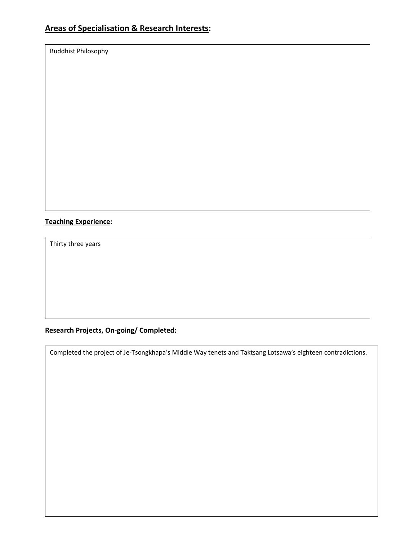Buddhist Philosophy

# **Teaching Experience:**

Thirty three years

# **Research Projects, On-going/ Completed:**

Completed the project of Je-Tsongkhapa's Middle Way tenets and Taktsang Lotsawa's eighteen contradictions.